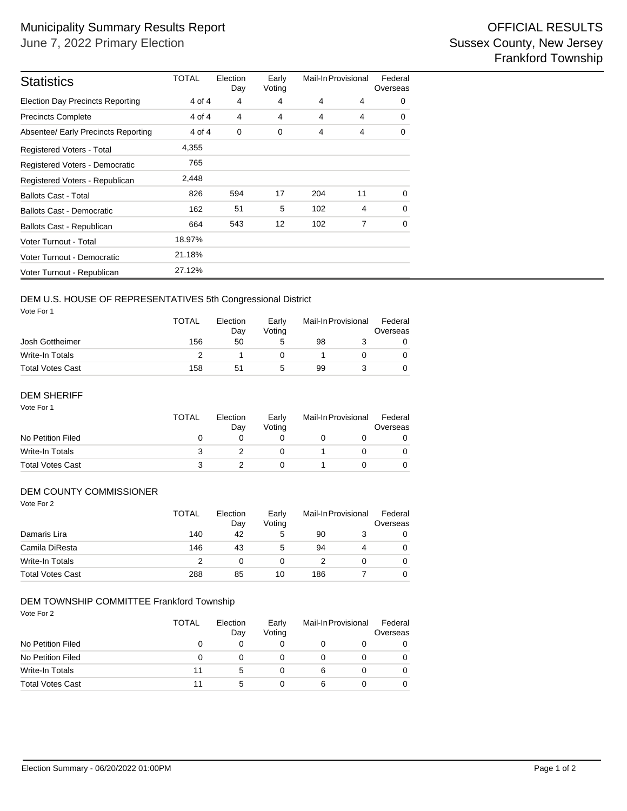| <b>Statistics</b>                       | <b>TOTAL</b> | Election<br>Day | Early<br>Voting | Mail-In Provisional |    | Federal<br>Overseas |  |
|-----------------------------------------|--------------|-----------------|-----------------|---------------------|----|---------------------|--|
| <b>Election Day Precincts Reporting</b> | 4 of 4       | 4               | 4               | 4                   | 4  | $\Omega$            |  |
| <b>Precincts Complete</b>               | 4 of 4       | 4               | 4               | 4                   | 4  | 0                   |  |
| Absentee/ Early Precincts Reporting     | 4 of 4       | 0               | 0               | 4                   | 4  | 0                   |  |
| <b>Registered Voters - Total</b>        | 4,355        |                 |                 |                     |    |                     |  |
| Registered Voters - Democratic          | 765          |                 |                 |                     |    |                     |  |
| Registered Voters - Republican          | 2,448        |                 |                 |                     |    |                     |  |
| <b>Ballots Cast - Total</b>             | 826          | 594             | 17              | 204                 | 11 | $\Omega$            |  |
| <b>Ballots Cast - Democratic</b>        | 162          | 51              | 5               | 102                 | 4  | 0                   |  |
| Ballots Cast - Republican               | 664          | 543             | 12              | 102                 | 7  | $\Omega$            |  |
| Voter Turnout - Total                   | 18.97%       |                 |                 |                     |    |                     |  |
| Voter Turnout - Democratic              | 21.18%       |                 |                 |                     |    |                     |  |
| Voter Turnout - Republican              | 27.12%       |                 |                 |                     |    |                     |  |

# DEM U.S. HOUSE OF REPRESENTATIVES 5th Congressional District

Vote For 1

|                         | <b>TOTAL</b> | Election<br>Dav | Early<br>Votina | Mail-In Provisional |  | Federal<br>Overseas |  |
|-------------------------|--------------|-----------------|-----------------|---------------------|--|---------------------|--|
| Josh Gottheimer         | 156          | 50              | 5               | 98                  |  |                     |  |
| Write-In Totals         |              |                 |                 |                     |  |                     |  |
| <b>Total Votes Cast</b> | 158          | 51              | 5               | 99                  |  |                     |  |

## DEM SHERIFF

| Vote For 1              | TOTAL | Election<br>Day | Early<br>Voting | Mail-In Provisional | Federal<br>Overseas |
|-------------------------|-------|-----------------|-----------------|---------------------|---------------------|
| No Petition Filed       | 0     |                 |                 |                     |                     |
| Write-In Totals         | з     |                 |                 |                     |                     |
| <b>Total Votes Cast</b> | 3     |                 |                 |                     |                     |

#### DEM COUNTY COMMISSIONER

| Vote For 2              | <b>TOTAL</b> | Election<br>Day | Mail-In Provisional<br>Early<br>Voting |     |          | Federal<br>Overseas |
|-------------------------|--------------|-----------------|----------------------------------------|-----|----------|---------------------|
| Damaris Lira            | 140          | 42              | 5                                      | 90  | 3        | 0                   |
| Camila DiResta          | 146          | 43              | 5                                      | 94  | 4        | 0                   |
| <b>Write-In Totals</b>  | っ            | 0               | 0                                      |     | $\Omega$ | 0                   |
| <b>Total Votes Cast</b> | 288          | 85              | 10                                     | 186 |          | 0                   |

#### DEM TOWNSHIP COMMITTEE Frankford Township

Vote For 2

|                         | TOTAL | Election<br>Day | Early<br>Votina | Mail-In Provisional |  | Federal<br>Overseas |
|-------------------------|-------|-----------------|-----------------|---------------------|--|---------------------|
| No Petition Filed       |       |                 |                 |                     |  | 0                   |
| No Petition Filed       |       |                 |                 |                     |  | 0                   |
| Write-In Totals         | 11    | ۰.              |                 | 6                   |  | 0                   |
| <b>Total Votes Cast</b> | 11    | 5               |                 | 6                   |  | 0                   |